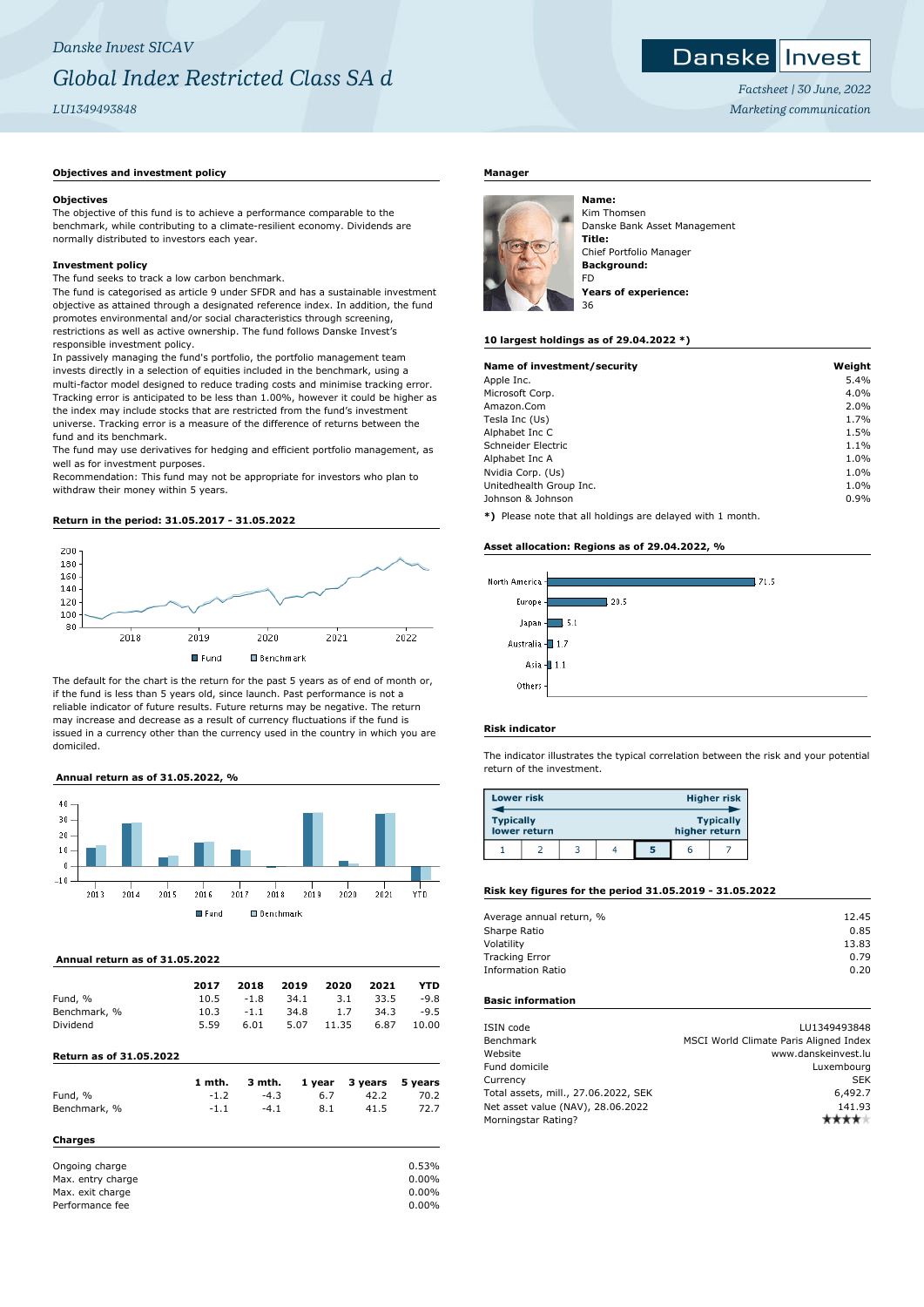#### Danske **I** Invest

*Factsheet | 30 June, 2022 Marketing communication*

### **Objectives and investment policy**

### **Objectives**

The objective of this fund is to achieve a performance comparable to the benchmark, while contributing to a climate-resilient economy. Dividends are normally distributed to investors each year.

### **Investment policy**

The fund seeks to track a low carbon benchmark.

The fund is categorised as article 9 under SFDR and has a sustainable investment objective as attained through a designated reference index. In addition, the fund promotes environmental and/or social characteristics through screening, restrictions as well as active ownership. The fund follows Danske Invest's responsible investment policy.

In passively managing the fund's portfolio, the portfolio management team invests directly in a selection of equities included in the benchmark, using a multi-factor model designed to reduce trading costs and minimise tracking error. Tracking error is anticipated to be less than 1.00%, however it could be higher as the index may include stocks that are restricted from the fund's investment universe. Tracking error is a measure of the difference of returns between the fund and its benchmark.

The fund may use derivatives for hedging and efficient portfolio management, as well as for investment purposes.

Recommendation: This fund may not be appropriate for investors who plan to withdraw their money within 5 years.

# **Return in the period: 31.05.2017 - 31.05.2022**



The default for the chart is the return for the past 5 years as of end of month or, if the fund is less than 5 years old, since launch. Past performance is not a reliable indicator of future results. Future returns may be negative. The return may increase and decrease as a result of currency fluctuations if the fund is issued in a currency other than the currency used in the country in which you are domiciled.

### **Annual return as of 31.05.2022, %**



# **Annual return as of 31.05.2022**

| 2017 | 2018   | 2019 | 2020  | 2021 | YTD    |
|------|--------|------|-------|------|--------|
| 10.5 | $-1.8$ | 34.1 | 3.1   | 33.5 | $-9.8$ |
| 10.3 | $-1.1$ | 34.8 | 1.7   | 34.3 | $-9.5$ |
| 5.59 | 6.01   | 5.07 | 11.35 | 6.87 | 10.00  |
|      |        |      |       |      |        |

### **Return as of 31.05.2022**

|                   | 1 mth. | 3 mth. | 1 year | 3 years | 5 years  |
|-------------------|--------|--------|--------|---------|----------|
| Fund, %           | $-1.2$ | $-4.3$ | 6.7    | 42.2    | 70.2     |
| Benchmark, %      | $-1.1$ | $-4.1$ | 8.1    | 41.5    | 72.7     |
| Charges           |        |        |        |         |          |
| Ongoing charge    |        |        |        |         | 0.53%    |
| Max. entry charge |        |        |        |         | $0.00\%$ |

Max. exit charge 0.00% Performance fee 0.00%

# **Manager**



Kim Thomsen Danske Bank Asset Management **Title:** Chief Portfolio Manager **Background:** FD **Years of experience:**

### **10 largest holdings as of 29.04.2022 \*)**

| Name of investment/security | Weight |
|-----------------------------|--------|
| Apple Inc.                  | 5.4%   |
| Microsoft Corp.             | 4.0%   |
| Amazon.Com                  | 2.0%   |
| Tesla Inc (Us)              | 1.7%   |
| Alphabet Inc C              | 1.5%   |
| Schneider Electric          | 1.1%   |
| Alphabet Inc A              | 1.0%   |
| Nvidia Corp. (Us)           | 1.0%   |
| Unitedhealth Group Inc.     | 1.0%   |
| Johnson & Johnson           | 0.9%   |
|                             |        |

**\*)** Please note that all holdings are delayed with 1 month.

### **Asset allocation: Regions as of 29.04.2022, %**



### **Risk indicator**

The indicator illustrates the typical correlation between the risk and your potential return of the investment.

| <b>Lower risk</b> |              |  |   |               | <b>Higher risk</b> |
|-------------------|--------------|--|---|---------------|--------------------|
| <b>Typically</b>  | lower return |  |   | higher return | <b>Typically</b>   |
|                   |              |  | 5 | r             |                    |

# **Risk key figures for the period 31.05.2019 - 31.05.2022**

| Average annual return, % | 12.45 |
|--------------------------|-------|
| Sharpe Ratio             | 0.85  |
| Volatility               | 13.83 |
| <b>Tracking Error</b>    | 0.79  |
| <b>Information Ratio</b> | 0.20  |
|                          |       |

# **Basic information**

| ISIN code                            | LU1349493848                           |
|--------------------------------------|----------------------------------------|
| Benchmark                            | MSCI World Climate Paris Aligned Index |
| Website                              | www.danskeinvest.lu                    |
| Fund domicile                        | Luxembourg                             |
| Currency                             | <b>SEK</b>                             |
| Total assets, mill., 27.06.2022, SEK | 6,492.7                                |
| Net asset value (NAV), 28.06.2022    | 141.93                                 |
| Morningstar Rating?                  |                                        |
|                                      |                                        |